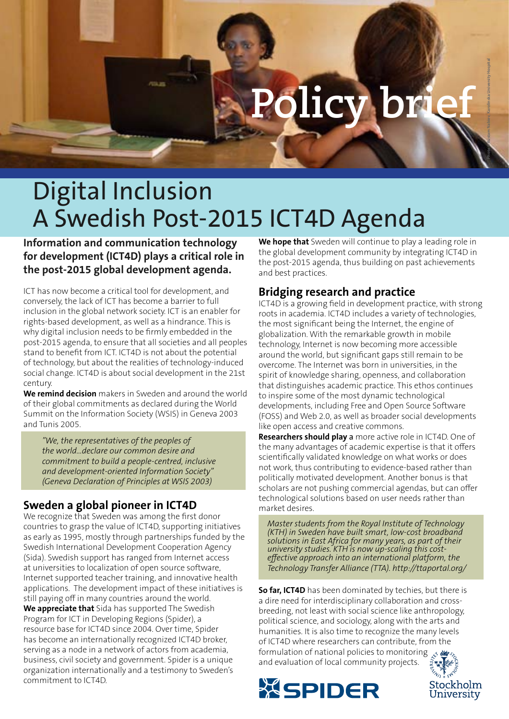# **Policy bri**

**Photo © Rustam Nabiev, Karolinska University Hospital**

## Digital Inclusion A Swedish Post-2015 ICT4D Agenda

**Information and communication technology for development (ICT4D) plays a critical role in the post-2015 global development agenda.** 

ICT has now become a critical tool for development, and conversely, the lack of ICT has become a barrier to full inclusion in the global network society. ICT is an enabler for rights-based development, as well as a hindrance. This is why digital inclusion needs to be firmly embedded in the post-2015 agenda, to ensure that all societies and all peoples stand to benefit from ICT. ICT4D is not about the potential of technology, but about the realities of technology-induced social change. ICT4D is about social development in the 21st century.

**We remind decision** makers in Sweden and around the world of their global commitments as declared during the World Summit on the Information Society (WSIS) in Geneva 2003 and Tunis 2005.

*"We, the representatives of the peoples of the world…declare our common desire and commitment to build a people-centred, inclusive and development-oriented Information Society" (Geneva Declaration of Principles at WSIS 2003)*

#### **Sweden a global pioneer in ICT4D**

We recognize that Sweden was among the first donor countries to grasp the value of ICT4D, supporting initiatives as early as 1995, mostly through partnerships funded by the Swedish International Development Cooperation Agency (Sida). Swedish support has ranged from Internet access at universities to localization of open source software, Internet supported teacher training, and innovative health applications. The development impact of these initiatives is still paying off in many countries around the world. **We appreciate that** Sida has supported The Swedish Program for ICT in Developing Regions (Spider), a resource base for ICT4D since 2004. Over time, Spider has become an internationally recognized ICT4D broker, serving as a node in a network of actors from academia, business, civil society and government. Spider is a unique organization internationally and a testimony to Sweden's commitment to ICT4D.

**We hope that** Sweden will continue to play a leading role in the global development community by integrating ICT4D in the post-2015 agenda, thus building on past achievements and best practices.

#### **Bridging research and practice**

ICT4D is a growing field in development practice, with strong roots in academia. ICT4D includes a variety of technologies, the most significant being the Internet, the engine of globalization. With the remarkable growth in mobile technology, Internet is now becoming more accessible around the world, but significant gaps still remain to be overcome. The Internet was born in universities, in the spirit of knowledge sharing, openness, and collaboration that distinguishes academic practice. This ethos continues to inspire some of the most dynamic technological developments, including Free and Open Source Software (FOSS) and Web 2.0, as well as broader social developments like open access and creative commons.

**Researchers should play** a more active role in ICT4D. One of the many advantages of academic expertise is that it offers scientifically validated knowledge on what works or does not work, thus contributing to evidence-based rather than politically motivated development. Another bonus is that scholars are not pushing commercial agendas, but can offer technological solutions based on user needs rather than market desires.

*Master students from the Royal Institute of Technology (KTH) in Sweden have built smart, low-cost broadband solutions in East Africa for many years, as part of their university studies. KTH is now up-scaling this costeffective approach into an international platform, the Technology Transfer Alliance (TTA). http://ttaportal.org/* 

**So far, ICT4D** has been dominated by techies, but there is a dire need for interdisciplinary collaboration and crossbreeding, not least with social science like anthropology, political science, and sociology, along with the arts and humanities. It is also time to recognize the many levels of ICT4D where researchers can contribute, from the formulation of national policies to monitoring  $\mathcal{L}$ and evaluation of local community projects.